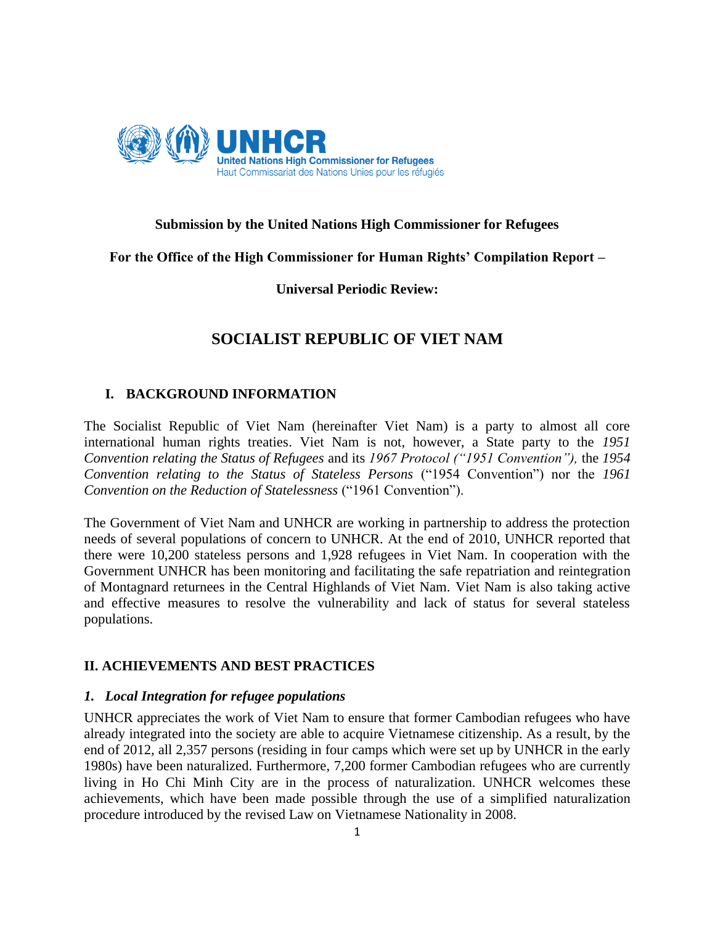

# **Submission by the United Nations High Commissioner for Refugees**

# **For the Office of the High Commissioner for Human Rights' Compilation Report –**

## **Universal Periodic Review:**

# **SOCIALIST REPUBLIC OF VIET NAM**

## **I. BACKGROUND INFORMATION**

The Socialist Republic of Viet Nam (hereinafter Viet Nam) is a party to almost all core international human rights treaties. Viet Nam is not, however, a State party to the *1951 Convention relating the Status of Refugees* and its *1967 Protocol ("1951 Convention"),* the *1954 Convention relating to the Status of Stateless Persons* ("1954 Convention") nor the *1961 Convention on the Reduction of Statelessness* ("1961 Convention").

The Government of Viet Nam and UNHCR are working in partnership to address the protection needs of several populations of concern to UNHCR. At the end of 2010, UNHCR reported that there were 10,200 stateless persons and 1,928 refugees in Viet Nam. In cooperation with the Government UNHCR has been monitoring and facilitating the safe repatriation and reintegration of Montagnard returnees in the Central Highlands of Viet Nam. Viet Nam is also taking active and effective measures to resolve the vulnerability and lack of status for several stateless populations.

# **II. ACHIEVEMENTS AND BEST PRACTICES**

### *1. Local Integration for refugee populations*

UNHCR appreciates the work of Viet Nam to ensure that former Cambodian refugees who have already integrated into the society are able to acquire Vietnamese citizenship. As a result, by the end of 2012, all 2,357 persons (residing in four camps which were set up by UNHCR in the early 1980s) have been naturalized. Furthermore, 7,200 former Cambodian refugees who are currently living in Ho Chi Minh City are in the process of naturalization. UNHCR welcomes these achievements, which have been made possible through the use of a simplified naturalization procedure introduced by the revised Law on Vietnamese Nationality in 2008.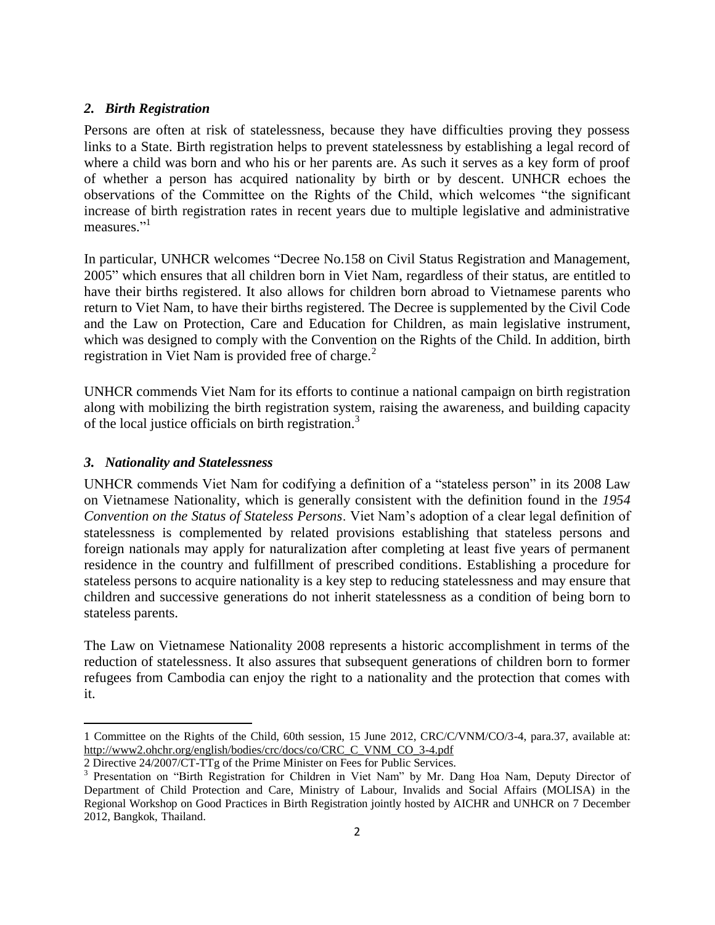#### *2. Birth Registration*

Persons are often at risk of statelessness, because they have difficulties proving they possess links to a State. Birth registration helps to prevent statelessness by establishing a legal record of where a child was born and who his or her parents are. As such it serves as a key form of proof of whether a person has acquired nationality by birth or by descent. UNHCR echoes the observations of the Committee on the Rights of the Child, which welcomes "the significant increase of birth registration rates in recent years due to multiple legislative and administrative measures."<sup>1</sup>

In particular, UNHCR welcomes "Decree No.158 on Civil Status Registration and Management, 2005" which ensures that all children born in Viet Nam, regardless of their status, are entitled to have their births registered. It also allows for children born abroad to Vietnamese parents who return to Viet Nam, to have their births registered. The Decree is supplemented by the Civil Code and the Law on Protection, Care and Education for Children, as main legislative instrument, which was designed to comply with the Convention on the Rights of the Child. In addition, birth registration in Viet Nam is provided free of charge. $<sup>2</sup>$ </sup>

UNHCR commends Viet Nam for its efforts to continue a national campaign on birth registration along with mobilizing the birth registration system, raising the awareness, and building capacity of the local justice officials on birth registration.<sup>3</sup>

#### *3. Nationality and Statelessness*

l

UNHCR commends Viet Nam for codifying a definition of a "stateless person" in its 2008 Law on Vietnamese Nationality, which is generally consistent with the definition found in the *1954 Convention on the Status of Stateless Persons*. Viet Nam's adoption of a clear legal definition of statelessness is complemented by related provisions establishing that stateless persons and foreign nationals may apply for naturalization after completing at least five years of permanent residence in the country and fulfillment of prescribed conditions. Establishing a procedure for stateless persons to acquire nationality is a key step to reducing statelessness and may ensure that children and successive generations do not inherit statelessness as a condition of being born to stateless parents.

The Law on Vietnamese Nationality 2008 represents a historic accomplishment in terms of the reduction of statelessness. It also assures that subsequent generations of children born to former refugees from Cambodia can enjoy the right to a nationality and the protection that comes with it.

<sup>1</sup> Committee on the Rights of the Child, 60th session, 15 June 2012, CRC/C/VNM/CO/3-4, para.37, available at: [http://www2.ohchr.org/english/bodies/crc/docs/co/CRC\\_C\\_VNM\\_CO\\_3-4.pdf](http://www2.ohchr.org/english/bodies/crc/docs/co/CRC_C_VNM_CO_3-4.pdf)

<sup>2</sup> Directive 24/2007/CT-TTg of the Prime Minister on Fees for Public Services.

<sup>&</sup>lt;sup>3</sup> Presentation on "Birth Registration for Children in Viet Nam" by Mr. Dang Hoa Nam, Deputy Director of Department of Child Protection and Care, Ministry of Labour, Invalids and Social Affairs (MOLISA) in the Regional Workshop on Good Practices in Birth Registration jointly hosted by AICHR and UNHCR on 7 December 2012, Bangkok, Thailand.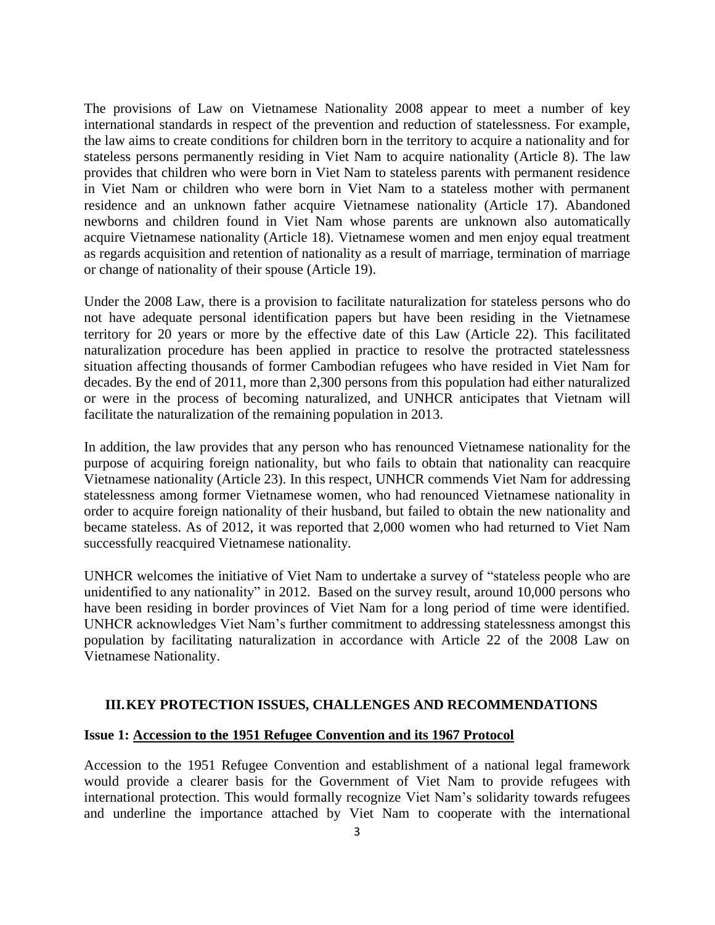The provisions of Law on Vietnamese Nationality 2008 appear to meet a number of key international standards in respect of the prevention and reduction of statelessness. For example, the law aims to create conditions for children born in the territory to acquire a nationality and for stateless persons permanently residing in Viet Nam to acquire nationality (Article 8). The law provides that children who were born in Viet Nam to stateless parents with permanent residence in Viet Nam or children who were born in Viet Nam to a stateless mother with permanent residence and an unknown father acquire Vietnamese nationality (Article 17). Abandoned newborns and children found in Viet Nam whose parents are unknown also automatically acquire Vietnamese nationality (Article 18). Vietnamese women and men enjoy equal treatment as regards acquisition and retention of nationality as a result of marriage, termination of marriage or change of nationality of their spouse (Article 19).

Under the 2008 Law, there is a provision to facilitate naturalization for stateless persons who do not have adequate personal identification papers but have been residing in the Vietnamese territory for 20 years or more by the effective date of this Law (Article 22). This facilitated naturalization procedure has been applied in practice to resolve the protracted statelessness situation affecting thousands of former Cambodian refugees who have resided in Viet Nam for decades. By the end of 2011, more than 2,300 persons from this population had either naturalized or were in the process of becoming naturalized, and UNHCR anticipates that Vietnam will facilitate the naturalization of the remaining population in 2013.

In addition, the law provides that any person who has renounced Vietnamese nationality for the purpose of acquiring foreign nationality, but who fails to obtain that nationality can reacquire Vietnamese nationality (Article 23). In this respect, UNHCR commends Viet Nam for addressing statelessness among former Vietnamese women, who had renounced Vietnamese nationality in order to acquire foreign nationality of their husband, but failed to obtain the new nationality and became stateless. As of 2012, it was reported that 2,000 women who had returned to Viet Nam successfully reacquired Vietnamese nationality.

UNHCR welcomes the initiative of Viet Nam to undertake a survey of "stateless people who are unidentified to any nationality" in 2012. Based on the survey result, around 10,000 persons who have been residing in border provinces of Viet Nam for a long period of time were identified. UNHCR acknowledges Viet Nam's further commitment to addressing statelessness amongst this population by facilitating naturalization in accordance with Article 22 of the 2008 Law on Vietnamese Nationality.

### **III.KEY PROTECTION ISSUES, CHALLENGES AND RECOMMENDATIONS**

#### **Issue 1: Accession to the 1951 Refugee Convention and its 1967 Protocol**

Accession to the 1951 Refugee Convention and establishment of a national legal framework would provide a clearer basis for the Government of Viet Nam to provide refugees with international protection. This would formally recognize Viet Nam's solidarity towards refugees and underline the importance attached by Viet Nam to cooperate with the international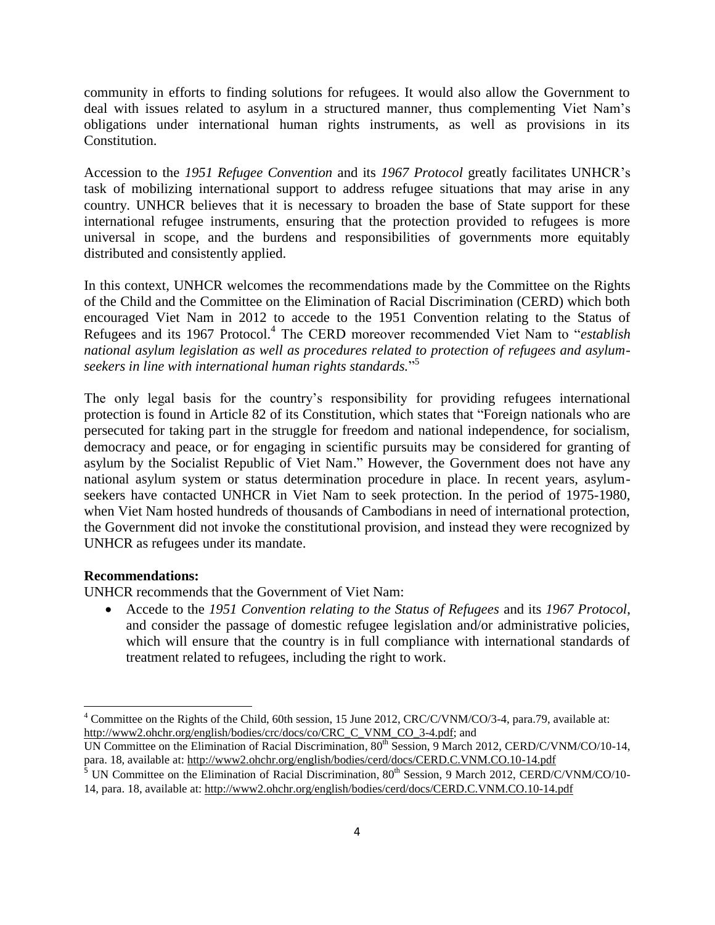community in efforts to finding solutions for refugees. It would also allow the Government to deal with issues related to asylum in a structured manner, thus complementing Viet Nam's obligations under international human rights instruments, as well as provisions in its Constitution.

Accession to the *1951 Refugee Convention* and its *1967 Protocol* greatly facilitates UNHCR's task of mobilizing international support to address refugee situations that may arise in any country. UNHCR believes that it is necessary to broaden the base of State support for these international refugee instruments, ensuring that the protection provided to refugees is more universal in scope, and the burdens and responsibilities of governments more equitably distributed and consistently applied.

In this context, UNHCR welcomes the recommendations made by the Committee on the Rights of the Child and the Committee on the Elimination of Racial Discrimination (CERD) which both encouraged Viet Nam in 2012 to accede to the 1951 Convention relating to the Status of Refugees and its 1967 Protocol.<sup>4</sup> The CERD moreover recommended Viet Nam to "*establish national asylum legislation as well as procedures related to protection of refugees and asylumseekers in line with international human rights standards.*" 5

The only legal basis for the country's responsibility for providing refugees international protection is found in Article 82 of its Constitution, which states that "Foreign nationals who are persecuted for taking part in the struggle for freedom and national independence, for socialism, democracy and peace, or for engaging in scientific pursuits may be considered for granting of asylum by the Socialist Republic of Viet Nam." However, the Government does not have any national asylum system or status determination procedure in place. In recent years, asylumseekers have contacted UNHCR in Viet Nam to seek protection. In the period of 1975-1980, when Viet Nam hosted hundreds of thousands of Cambodians in need of international protection, the Government did not invoke the constitutional provision, and instead they were recognized by UNHCR as refugees under its mandate.

#### **Recommendations:**

 $\overline{\phantom{a}}$ 

UNHCR recommends that the Government of Viet Nam:

 Accede to the *1951 Convention relating to the Status of Refugees* and its *1967 Protocol*, and consider the passage of domestic refugee legislation and/or administrative policies, which will ensure that the country is in full compliance with international standards of treatment related to refugees, including the right to work.

<sup>&</sup>lt;sup>4</sup> Committee on the Rights of the Child, 60th session, 15 June 2012, CRC/C/VNM/CO/3-4, para.79, available at: [http://www2.ohchr.org/english/bodies/crc/docs/co/CRC\\_C\\_VNM\\_CO\\_3-4.pdf;](http://www2.ohchr.org/english/bodies/crc/docs/co/CRC_C_VNM_CO_3-4.pdf) and

UN Committee on the Elimination of Racial Discrimination,  $80^{th}$  Session, 9 March 2012, CERD/C/VNM/CO/10-14, para. 18, available at: http://www2.ohchr.org/english/bodies/cerd/docs/CERD.C.VNM.CO.10-14.pdf

<sup>&</sup>lt;sup>5</sup> UN Committee on the Elimination of Racial Discrimination,  $80^{th}$  Session, 9 March 2012, CERD/C/VNM/CO/10-14, para. 18, available at: http://www2.ohchr.org/english/bodies/cerd/docs/CERD.C.VNM.CO.10-14.pdf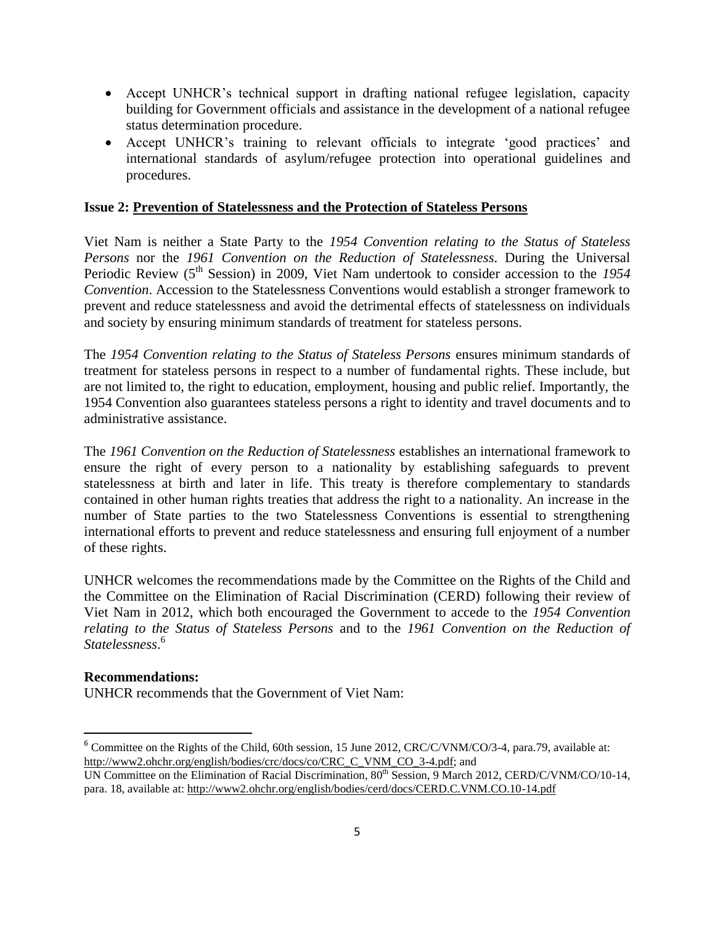- Accept UNHCR's technical support in drafting national refugee legislation, capacity building for Government officials and assistance in the development of a national refugee status determination procedure.
- Accept UNHCR's training to relevant officials to integrate 'good practices' and international standards of asylum/refugee protection into operational guidelines and procedures.

## **Issue 2: Prevention of Statelessness and the Protection of Stateless Persons**

Viet Nam is neither a State Party to the *1954 Convention relating to the Status of Stateless Persons* nor the *1961 Convention on the Reduction of Statelessness*. During the Universal Periodic Review (5<sup>th</sup> Session) in 2009, Viet Nam undertook to consider accession to the 1954 *Convention*. Accession to the Statelessness Conventions would establish a stronger framework to prevent and reduce statelessness and avoid the detrimental effects of statelessness on individuals and society by ensuring minimum standards of treatment for stateless persons.

The *1954 Convention relating to the Status of Stateless Persons* ensures minimum standards of treatment for stateless persons in respect to a number of fundamental rights. These include, but are not limited to, the right to education, employment, housing and public relief. Importantly, the 1954 Convention also guarantees stateless persons a right to identity and travel documents and to administrative assistance.

The *1961 Convention on the Reduction of Statelessness* establishes an international framework to ensure the right of every person to a nationality by establishing safeguards to prevent statelessness at birth and later in life. This treaty is therefore complementary to standards contained in other human rights treaties that address the right to a nationality. An increase in the number of State parties to the two Statelessness Conventions is essential to strengthening international efforts to prevent and reduce statelessness and ensuring full enjoyment of a number of these rights.

UNHCR welcomes the recommendations made by the Committee on the Rights of the Child and the Committee on the Elimination of Racial Discrimination (CERD) following their review of Viet Nam in 2012, which both encouraged the Government to accede to the *1954 Convention relating to the Status of Stateless Persons* and to the *1961 Convention on the Reduction of Statelessness*. 6

### **Recommendations:**

 $\overline{\phantom{a}}$ 

UNHCR recommends that the Government of Viet Nam:

<sup>&</sup>lt;sup>6</sup> Committee on the Rights of the Child, 60th session, 15 June 2012, CRC/C/VNM/CO/3-4, para.79, available at: [http://www2.ohchr.org/english/bodies/crc/docs/co/CRC\\_C\\_VNM\\_CO\\_3-4.pdf;](http://www2.ohchr.org/english/bodies/crc/docs/co/CRC_C_VNM_CO_3-4.pdf) and

UN Committee on the Elimination of Racial Discrimination, 80<sup>th</sup> Session, 9 March 2012, CERD/C/VNM/CO/10-14, para. 18, available at: http://www2.ohchr.org/english/bodies/cerd/docs/CERD.C.VNM.CO.10-14.pdf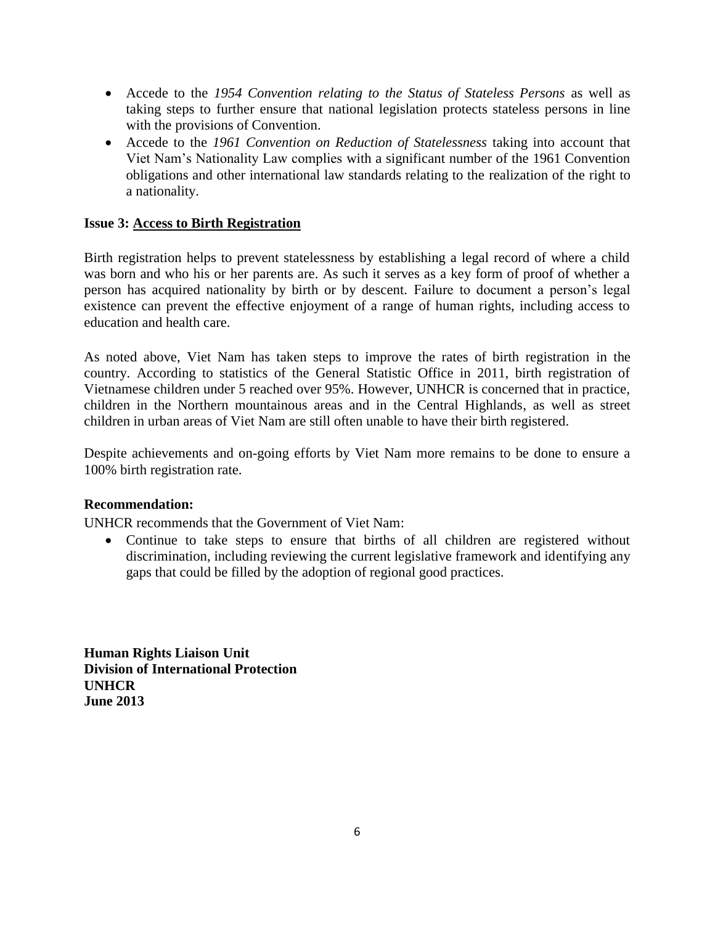- Accede to the *1954 Convention relating to the Status of Stateless Persons* as well as taking steps to further ensure that national legislation protects stateless persons in line with the provisions of Convention.
- Accede to the *1961 Convention on Reduction of Statelessness* taking into account that Viet Nam's Nationality Law complies with a significant number of the 1961 Convention obligations and other international law standards relating to the realization of the right to a nationality.

# **Issue 3: Access to Birth Registration**

Birth registration helps to prevent statelessness by establishing a legal record of where a child was born and who his or her parents are. As such it serves as a key form of proof of whether a person has acquired nationality by birth or by descent. Failure to document a person's legal existence can prevent the effective enjoyment of a range of human rights, including access to education and health care.

As noted above, Viet Nam has taken steps to improve the rates of birth registration in the country. According to statistics of the General Statistic Office in 2011, birth registration of Vietnamese children under 5 reached over 95%. However, UNHCR is concerned that in practice, children in the Northern mountainous areas and in the Central Highlands, as well as street children in urban areas of Viet Nam are still often unable to have their birth registered.

Despite achievements and on-going efforts by Viet Nam more remains to be done to ensure a 100% birth registration rate.

### **Recommendation:**

UNHCR recommends that the Government of Viet Nam:

 Continue to take steps to ensure that births of all children are registered without discrimination, including reviewing the current legislative framework and identifying any gaps that could be filled by the adoption of regional good practices.

**Human Rights Liaison Unit Division of International Protection UNHCR June 2013**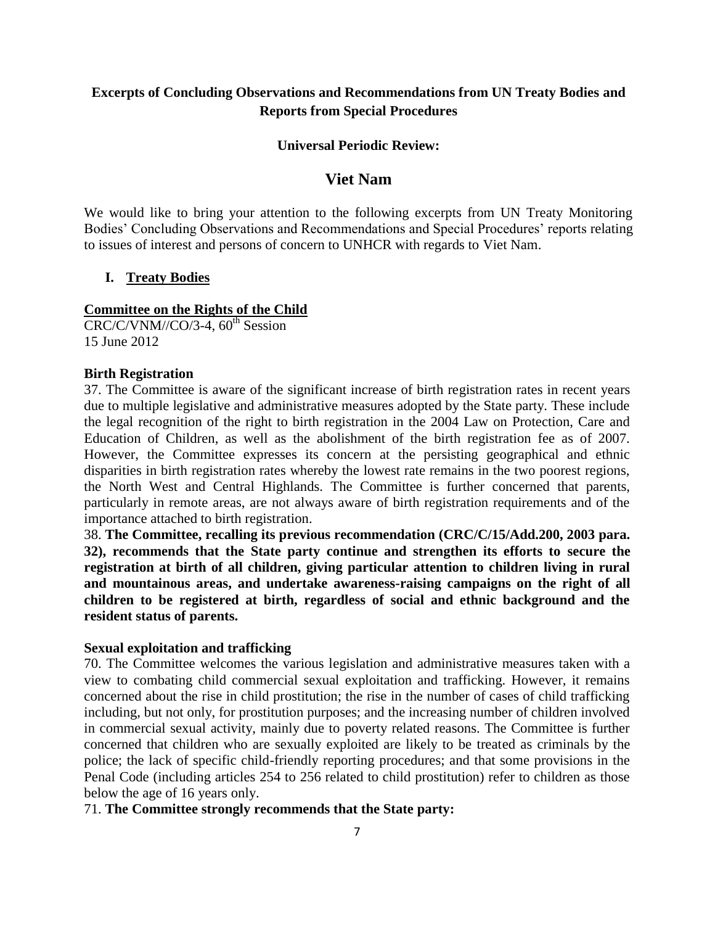# **Excerpts of Concluding Observations and Recommendations from UN Treaty Bodies and Reports from Special Procedures**

#### **Universal Periodic Review:**

# **Viet Nam**

We would like to bring your attention to the following excerpts from UN Treaty Monitoring Bodies' Concluding Observations and Recommendations and Special Procedures' reports relating to issues of interest and persons of concern to UNHCR with regards to Viet Nam.

### **I. Treaty Bodies**

#### **Committee on the Rights of the Child**

 $CRC/C/VMM/CO/3-4$ ,  $60<sup>th</sup> Session$ 15 June 2012

#### **Birth Registration**

37. The Committee is aware of the significant increase of birth registration rates in recent years due to multiple legislative and administrative measures adopted by the State party. These include the legal recognition of the right to birth registration in the 2004 Law on Protection, Care and Education of Children, as well as the abolishment of the birth registration fee as of 2007. However, the Committee expresses its concern at the persisting geographical and ethnic disparities in birth registration rates whereby the lowest rate remains in the two poorest regions, the North West and Central Highlands. The Committee is further concerned that parents, particularly in remote areas, are not always aware of birth registration requirements and of the importance attached to birth registration.

38. **The Committee, recalling its previous recommendation (CRC/C/15/Add.200, 2003 para. 32), recommends that the State party continue and strengthen its efforts to secure the registration at birth of all children, giving particular attention to children living in rural and mountainous areas, and undertake awareness-raising campaigns on the right of all children to be registered at birth, regardless of social and ethnic background and the resident status of parents.**

#### **Sexual exploitation and trafficking**

70. The Committee welcomes the various legislation and administrative measures taken with a view to combating child commercial sexual exploitation and trafficking. However, it remains concerned about the rise in child prostitution; the rise in the number of cases of child trafficking including, but not only, for prostitution purposes; and the increasing number of children involved in commercial sexual activity, mainly due to poverty related reasons. The Committee is further concerned that children who are sexually exploited are likely to be treated as criminals by the police; the lack of specific child-friendly reporting procedures; and that some provisions in the Penal Code (including articles 254 to 256 related to child prostitution) refer to children as those below the age of 16 years only.

71. **The Committee strongly recommends that the State party:**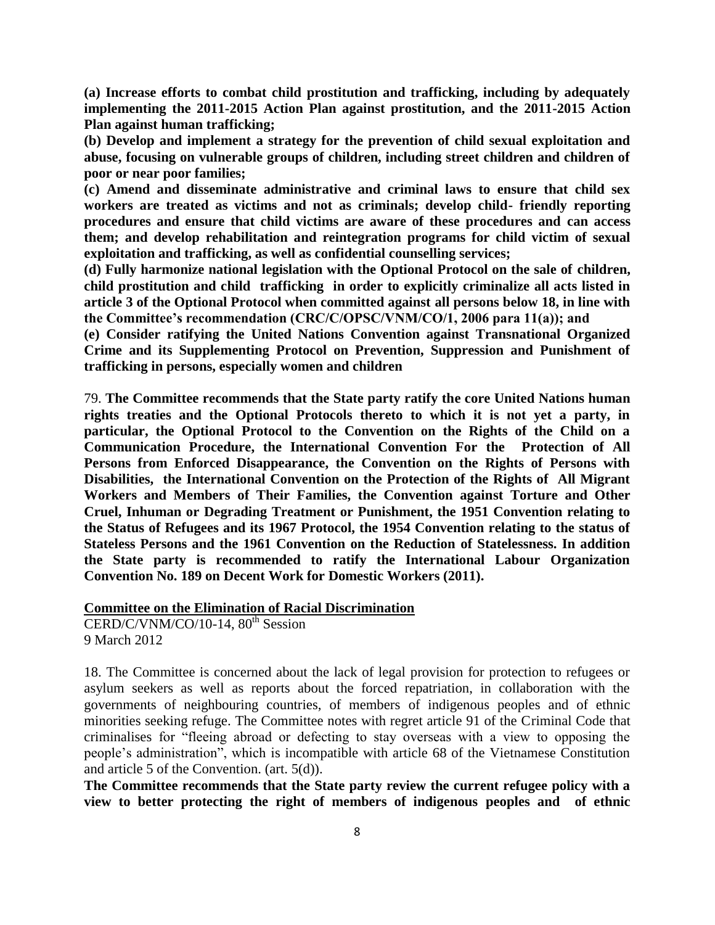**(a) Increase efforts to combat child prostitution and trafficking, including by adequately implementing the 2011-2015 Action Plan against prostitution, and the 2011-2015 Action Plan against human trafficking;**

**(b) Develop and implement a strategy for the prevention of child sexual exploitation and abuse, focusing on vulnerable groups of children, including street children and children of poor or near poor families;**

**(c) Amend and disseminate administrative and criminal laws to ensure that child sex workers are treated as victims and not as criminals; develop child- friendly reporting procedures and ensure that child victims are aware of these procedures and can access them; and develop rehabilitation and reintegration programs for child victim of sexual exploitation and trafficking, as well as confidential counselling services;**

**(d) Fully harmonize national legislation with the Optional Protocol on the sale of children, child prostitution and child trafficking in order to explicitly criminalize all acts listed in article 3 of the Optional Protocol when committed against all persons below 18, in line with the Committee's recommendation (CRC/C/OPSC/VNM/CO/1, 2006 para 11(a)); and**

**(e) Consider ratifying the United Nations Convention against Transnational Organized Crime and its Supplementing Protocol on Prevention, Suppression and Punishment of trafficking in persons, especially women and children**

79. **The Committee recommends that the State party ratify the core United Nations human rights treaties and the Optional Protocols thereto to which it is not yet a party, in particular, the Optional Protocol to the Convention on the Rights of the Child on a Communication Procedure, the International Convention For the Protection of All Persons from Enforced Disappearance, the Convention on the Rights of Persons with Disabilities, the International Convention on the Protection of the Rights of All Migrant Workers and Members of Their Families, the Convention against Torture and Other Cruel, Inhuman or Degrading Treatment or Punishment, the 1951 Convention relating to the Status of Refugees and its 1967 Protocol, the 1954 Convention relating to the status of Stateless Persons and the 1961 Convention on the Reduction of Statelessness. In addition the State party is recommended to ratify the International Labour Organization Convention No. 189 on Decent Work for Domestic Workers (2011).**

#### **Committee on the Elimination of Racial Discrimination**

 $CERD/C/NNM/CO/10-14$ ,  $80<sup>th</sup> Session$ 9 March 2012

18. The Committee is concerned about the lack of legal provision for protection to refugees or asylum seekers as well as reports about the forced repatriation, in collaboration with the governments of neighbouring countries, of members of indigenous peoples and of ethnic minorities seeking refuge. The Committee notes with regret article 91 of the Criminal Code that criminalises for "fleeing abroad or defecting to stay overseas with a view to opposing the people's administration", which is incompatible with article 68 of the Vietnamese Constitution and article 5 of the Convention. (art. 5(d)).

**The Committee recommends that the State party review the current refugee policy with a view to better protecting the right of members of indigenous peoples and of ethnic**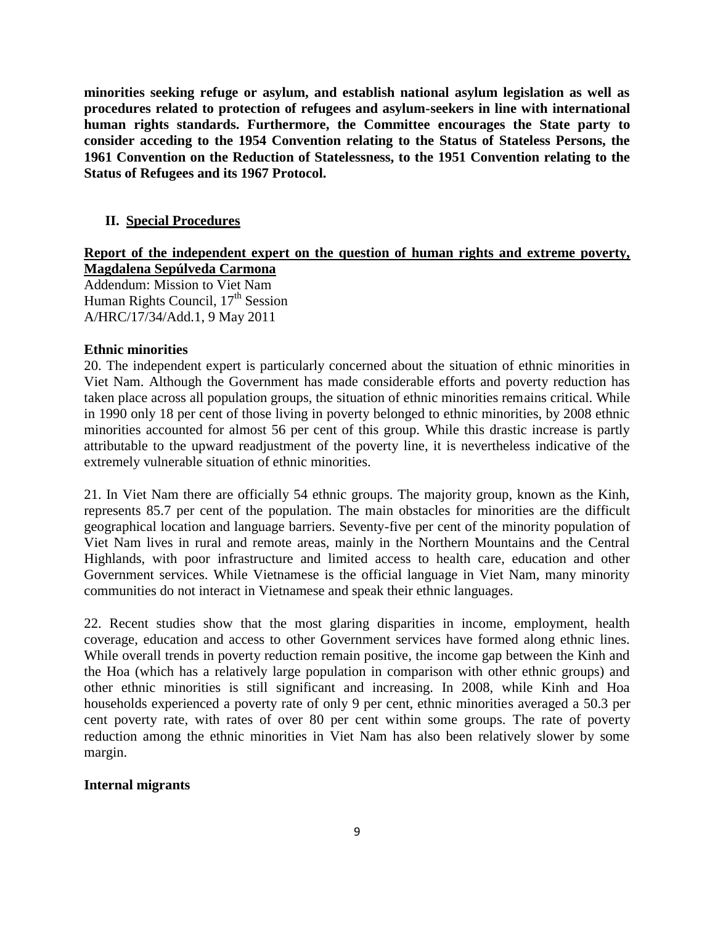**minorities seeking refuge or asylum, and establish national asylum legislation as well as procedures related to protection of refugees and asylum-seekers in line with international human rights standards. Furthermore, the Committee encourages the State party to consider acceding to the 1954 Convention relating to the Status of Stateless Persons, the 1961 Convention on the Reduction of Statelessness, to the 1951 Convention relating to the Status of Refugees and its 1967 Protocol.**

### **II. Special Procedures**

## **Report of the independent expert on the question of human rights and extreme poverty, Magdalena Sepúlveda Carmona**

Addendum: Mission to Viet Nam Human Rights Council,  $17<sup>th</sup>$  Session A/HRC/17/34/Add.1, 9 May 2011

#### **Ethnic minorities**

20. The independent expert is particularly concerned about the situation of ethnic minorities in Viet Nam. Although the Government has made considerable efforts and poverty reduction has taken place across all population groups, the situation of ethnic minorities remains critical. While in 1990 only 18 per cent of those living in poverty belonged to ethnic minorities, by 2008 ethnic minorities accounted for almost 56 per cent of this group. While this drastic increase is partly attributable to the upward readjustment of the poverty line, it is nevertheless indicative of the extremely vulnerable situation of ethnic minorities.

21. In Viet Nam there are officially 54 ethnic groups. The majority group, known as the Kinh, represents 85.7 per cent of the population. The main obstacles for minorities are the difficult geographical location and language barriers. Seventy-five per cent of the minority population of Viet Nam lives in rural and remote areas, mainly in the Northern Mountains and the Central Highlands, with poor infrastructure and limited access to health care, education and other Government services. While Vietnamese is the official language in Viet Nam, many minority communities do not interact in Vietnamese and speak their ethnic languages.

22. Recent studies show that the most glaring disparities in income, employment, health coverage, education and access to other Government services have formed along ethnic lines. While overall trends in poverty reduction remain positive, the income gap between the Kinh and the Hoa (which has a relatively large population in comparison with other ethnic groups) and other ethnic minorities is still significant and increasing. In 2008, while Kinh and Hoa households experienced a poverty rate of only 9 per cent, ethnic minorities averaged a 50.3 per cent poverty rate, with rates of over 80 per cent within some groups. The rate of poverty reduction among the ethnic minorities in Viet Nam has also been relatively slower by some margin.

### **Internal migrants**